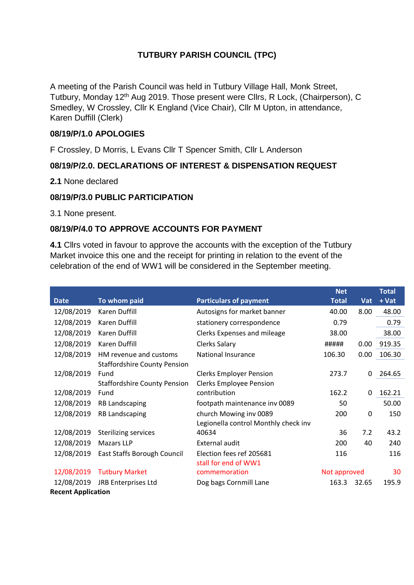# **TUTBURY PARISH COUNCIL (TPC)**

A meeting of the Parish Council was held in Tutbury Village Hall, Monk Street, Tutbury, Monday 12<sup>th</sup> Aug 2019. Those present were Cllrs, R Lock, (Chairperson), C Smedley, W Crossley, Cllr K England (Vice Chair), Cllr M Upton, in attendance, Karen Duffill (Clerk)

## **08/19/P/1.0 APOLOGIES**

F Crossley, D Morris, L Evans Cllr T Spencer Smith, Cllr L Anderson

## **08/19/P/2.0. DECLARATIONS OF INTEREST & DISPENSATION REQUEST**

**2.1** None declared

### **08/19/P/3.0 PUBLIC PARTICIPATION**

3.1 None present.

## **08/19/P/4.0 TO APPROVE ACCOUNTS FOR PAYMENT**

**4.1** Cllrs voted in favour to approve the accounts with the exception of the Tutbury Market invoice this one and the receipt for printing in relation to the event of the celebration of the end of WW1 will be considered in the September meeting.

|                           |                                     |                                      | <b>Net</b>   |       | <b>Total</b> |
|---------------------------|-------------------------------------|--------------------------------------|--------------|-------|--------------|
| <b>Date</b>               | To whom paid                        | <b>Particulars of payment</b>        | <b>Total</b> | Vat   | + Vat        |
| 12/08/2019                | Karen Duffill                       | Autosigns for market banner          | 40.00        | 8.00  | 48.00        |
| 12/08/2019                | Karen Duffill                       | stationery correspondence            | 0.79         |       | 0.79         |
| 12/08/2019                | Karen Duffill                       | Clerks Expenses and mileage          | 38.00        |       | 38.00        |
| 12/08/2019                | Karen Duffill                       | Clerks Salary                        | #####        | 0.00  | 919.35       |
| 12/08/2019                | HM revenue and customs              | <b>National Insurance</b>            | 106.30       | 0.00  | 106.30       |
|                           | <b>Staffordshire County Pension</b> |                                      |              |       |              |
| 12/08/2019                | Fund                                | <b>Clerks Employer Pension</b>       | 273.7        | 0     | 264.65       |
|                           | <b>Staffordshire County Pension</b> | <b>Clerks Employee Pension</b>       |              |       |              |
| 12/08/2019                | Fund                                | contribution                         | 162.2        | 0     | 162.21       |
| 12/08/2019                | <b>RB Landscaping</b>               | footpath maintenance inv 0089        | 50           |       | 50.00        |
| 12/08/2019                | <b>RB Landscaping</b>               | church Mowing inv 0089               | 200          | 0     | 150          |
|                           |                                     | Legionella control Monthly check inv |              |       |              |
| 12/08/2019                | <b>Sterilizing services</b>         | 40634                                | 36           | 7.2   | 43.2         |
| 12/08/2019                | <b>Mazars LLP</b>                   | External audit                       | 200          | 40    | 240          |
| 12/08/2019                | East Staffs Borough Council         | Election fees ref 205681             | 116          |       | 116          |
|                           |                                     | stall for end of WW1                 |              |       |              |
| 12/08/2019                | <b>Tutbury Market</b>               | commemoration                        | Not approved |       | 30           |
| 12/08/2019                | JRB Enterprises Ltd                 | Dog bags Cornmill Lane               | 163.3        | 32.65 | 195.9        |
| <b>Recent Application</b> |                                     |                                      |              |       |              |